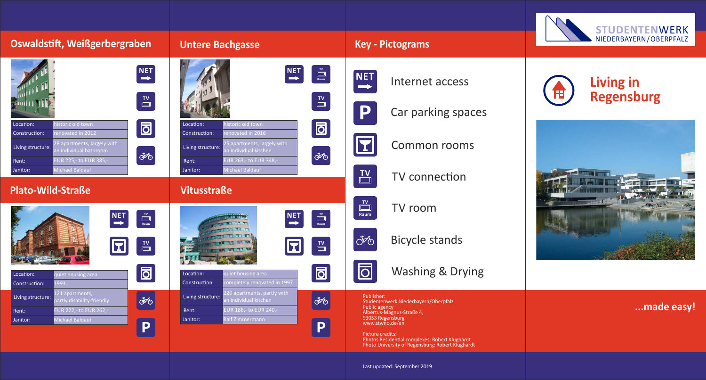| Oswaldstift, Weißgerbergraben                                                                                                                                                                                                          | <b>Untere Bachgasse</b>                                                                                                                                                                                                               | <b>Key - Pictograms</b>                                                                                                | <b>STUDENTENWERK</b><br>NIEDERBAYERN/OBERPFALZ        |
|----------------------------------------------------------------------------------------------------------------------------------------------------------------------------------------------------------------------------------------|---------------------------------------------------------------------------------------------------------------------------------------------------------------------------------------------------------------------------------------|------------------------------------------------------------------------------------------------------------------------|-------------------------------------------------------|
|                                                                                                                                                                                                                                        |                                                                                                                                                                                                                                       |                                                                                                                        |                                                       |
| NET<br>$\overline{\square}$                                                                                                                                                                                                            | $\left[\frac{\text{NET}}{\rightarrow}\right]$<br>$\begin{array}{c}\n\hline\n\text{TV} \\ \hline\n\text{Raum}\n\end{array}$<br>$\begin{array}{c}\n\mathbf{I} \mathbf{V} \\ \hline\n\end{array}$                                        | <b>NET</b><br>Internet access                                                                                          | <b>Living in</b><br>$\mathbf{H}$<br><b>Regensburg</b> |
|                                                                                                                                                                                                                                        |                                                                                                                                                                                                                                       | P<br>Car parking spaces                                                                                                |                                                       |
| $\blacksquare$<br>istoric old town<br>Location:<br>enovated in 2012<br>Construction:<br>8 apartments, largely with<br>Living structure:<br>n individual bathroom<br>8<br>UR 225,- to EUR 385,-<br>Rent:<br>Michael Baldauf<br>Janitor: | istoric old town<br>Location:<br>$\boxed{\Box}$<br>enovated in 2016<br>Construction:<br>5 apartments, largely with<br>Living structure:<br>individual kitchen<br>30<br>EUR 263,- to EUR 348,-<br>Rent:<br>Michael Baldauf<br>Janitor: | E<br><b>Common rooms</b>                                                                                               |                                                       |
|                                                                                                                                                                                                                                        |                                                                                                                                                                                                                                       | $\overline{\mathbb{D}}$<br>TV connection                                                                               |                                                       |
| <b>Plato-Wild-Straße</b>                                                                                                                                                                                                               | <b>Vitusstraße</b>                                                                                                                                                                                                                    |                                                                                                                        |                                                       |
|                                                                                                                                                                                                                                        |                                                                                                                                                                                                                                       | $\overline{\square}$<br>TV room<br>Raum                                                                                |                                                       |
| $\begin{array}{c}\n\hline\n\text{TV} \\ \hline\n\text{Raum}\n\end{array}$<br>NET<br>$\mathbf E$<br>$\overline{\square}$                                                                                                                | $\begin{array}{c}\n\overline{IV} \\ \hline\n\end{array}$<br>$\left  \begin{array}{c} \texttt{NET} \\ \texttt{N} \end{array} \right $<br>$\begin{array}{c}\n\mathbf{I} \mathbf{V} \\ \hline\n\end{array}$<br>$\bf{r}$                  | 8<br><b>Bicycle stands</b>                                                                                             |                                                       |
|                                                                                                                                                                                                                                        |                                                                                                                                                                                                                                       |                                                                                                                        |                                                       |
| $\blacksquare$<br>uiet housing area<br>Location:<br>Construction:<br>1993                                                                                                                                                              | $\boxed{\Box}$<br>Location:<br>uiet housing area<br>Construction:<br>completely renovated in 1997                                                                                                                                     | $\overline{\mathsf{D}}$<br><b>Washing &amp; Drying</b>                                                                 |                                                       |
| 121 apartments,<br>Living structure:<br>$ \partial \phi $<br>rtiy disability-mendiy                                                                                                                                                    | 220 apartments, partly with<br>Living structure:<br><b>FOR</b>                                                                                                                                                                        | Publisher:<br>Studentenwerk Niederbayern/Oberpfalz                                                                     |                                                       |
| EUR 222,- to EUR 262,-<br>Rent:                                                                                                                                                                                                        | EUR 186,- to EUR 240,-<br>Rent:                                                                                                                                                                                                       | Public agency<br>Albertus-Magnus-Straße 4,<br>93053 Regensburg                                                         | made easy!                                            |
| Michael Baldauf<br>Janitor:<br>P                                                                                                                                                                                                       | Ralf Zimmermann<br>Janitor:<br>P                                                                                                                                                                                                      | www.stwno.de/en                                                                                                        |                                                       |
|                                                                                                                                                                                                                                        |                                                                                                                                                                                                                                       | Picture credits:<br>Photos Residential complexes: Robert Klughardt<br>Photo University of Regensburg: Robert Klughardt |                                                       |
|                                                                                                                                                                                                                                        |                                                                                                                                                                                                                                       | Last updated: September 2019                                                                                           |                                                       |